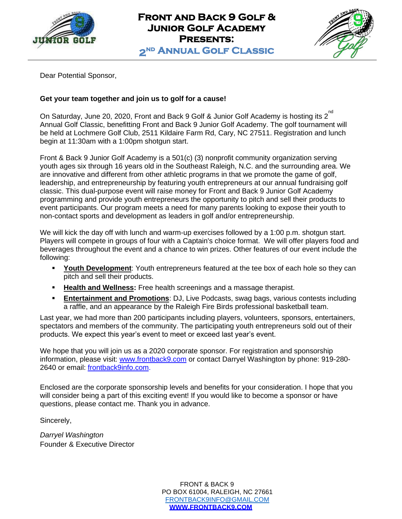

**Front and Back 9 Golf & Junior Golf Academy Presents: 2 nd Annual Golf Classic** 



Dear Potential Sponsor,

### **Get your team together and join us to golf for a cause!**

On Saturday, June 20, 2020, Front and Back 9 Golf & Junior Golf Academy is hosting its 2<sup>nd</sup> Annual Golf Classic, benefitting Front and Back 9 Junior Golf Academy. The golf tournament will be held at Lochmere Golf Club, 2511 Kildaire Farm Rd, Cary, NC 27511. Registration and lunch begin at 11:30am with a 1:00pm shotgun start.

Front & Back 9 Junior Golf Academy is a 501(c) (3) nonprofit community organization serving youth ages six through 16 years old in the Southeast Raleigh, N.C. and the surrounding area. We are innovative and different from other athletic programs in that we promote the game of golf, leadership, and entrepreneurship by featuring youth entrepreneurs at our annual fundraising golf classic. This dual-purpose event will raise money for Front and Back 9 Junior Golf Academy programming and provide youth entrepreneurs the opportunity to pitch and sell their products to event participants. Our program meets a need for many parents looking to expose their youth to non-contact sports and development as leaders in golf and/or entrepreneurship.

We will kick the day off with lunch and warm-up exercises followed by a 1:00 p.m. shotgun start. Players will compete in groups of four with a Captain's choice format. We will offer players food and beverages throughout the event and a chance to win prizes. Other features of our event include the following:

- **EXECT Youth Development:** Youth entrepreneurs featured at the tee box of each hole so they can pitch and sell their products.
- **Example 20 Health and Wellness:** Free health screenings and a massage therapist.
- **Entertainment and Promotions**: DJ, Live Podcasts, swag bags, various contests including a raffle, and an appearance by the Raleigh Fire Birds professional basketball team.

Last year, we had more than 200 participants including players, volunteers, sponsors, entertainers, spectators and members of the community. The participating youth entrepreneurs sold out of their products. We expect this year's event to meet or exceed last year's event.

We hope that you will join us as a 2020 corporate sponsor. For registration and sponsorship information, please visit: [www.frontback9.com](http://www.frontback9.com/) or contact Darryel Washington by phone: 919-280- 2640 or email: frontback9info.com.

Enclosed are the corporate sponsorship levels and benefits for your consideration. I hope that you will consider being a part of this exciting event! If you would like to become a sponsor or have questions, please contact me. Thank you in advance.

Sincerely,

*Darryel Washington* Founder & Executive Director

> FRONT & BACK 9 PO BOX 61004, RALEIGH, NC 27661 [FRONTBACK9INFO@GMAIL.COM](mailto:FRONTBACK9INFO@GMAIL.COM) **[WWW.FRONTBACK9.COM](http://www.frontback9.com/)**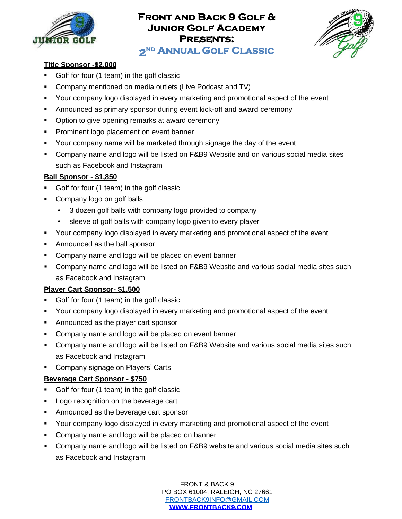

# **Front and Back 9 Golf & Junior Golf Academy Presents:**



**2 nd Annual Golf Classic** 

# **Title Sponsor -\$2,000**

- Golf for four (1 team) in the golf classic
- Company mentioned on media outlets (Live Podcast and TV)

- Your company logo displayed in every marketing and promotional aspect of the event
- **Announced as primary sponsor during event kick-off and award ceremony**
- Option to give opening remarks at award ceremony
- **Prominent logo placement on event banner**
- Your company name will be marketed through signage the day of the event
- Company name and logo will be listed on F&B9 Website and on various social media sites such as Facebook and Instagram

# **Ball Sponsor - \$1,850**

- Golf for four (1 team) in the golf classic
- Company logo on golf balls
	- 3 dozen golf balls with company logo provided to company
	- sleeve of golf balls with company logo given to every player
- Your company logo displayed in every marketing and promotional aspect of the event
- Announced as the ball sponsor
- **EXED** Company name and logo will be placed on event banner
- Company name and logo will be listed on F&B9 Website and various social media sites such as Facebook and Instagram

# **Player Cart Sponsor- \$1,500**

- Golf for four (1 team) in the golf classic
- **Your company logo displayed in every marketing and promotional aspect of the event**
- Announced as the player cart sponsor
- Company name and logo will be placed on event banner
- Company name and logo will be listed on F&B9 Website and various social media sites such as Facebook and Instagram
- Company signage on Players' Carts

# **Beverage Cart Sponsor - \$750**

- Golf for four (1 team) in the golf classic
- Logo recognition on the beverage cart
- Announced as the beverage cart sponsor
- Your company logo displayed in every marketing and promotional aspect of the event
- Company name and logo will be placed on banner
- Company name and logo will be listed on F&B9 website and various social media sites such as Facebook and Instagram

FRONT & BACK 9 PO BOX 61004, RALEIGH, NC 27661 [FRONTBACK9INFO@GMAIL.COM](mailto:FRONTBACK9INFO@GMAIL.COM) **[WWW.FRONTBACK9.COM](http://www.frontback9.com/)**